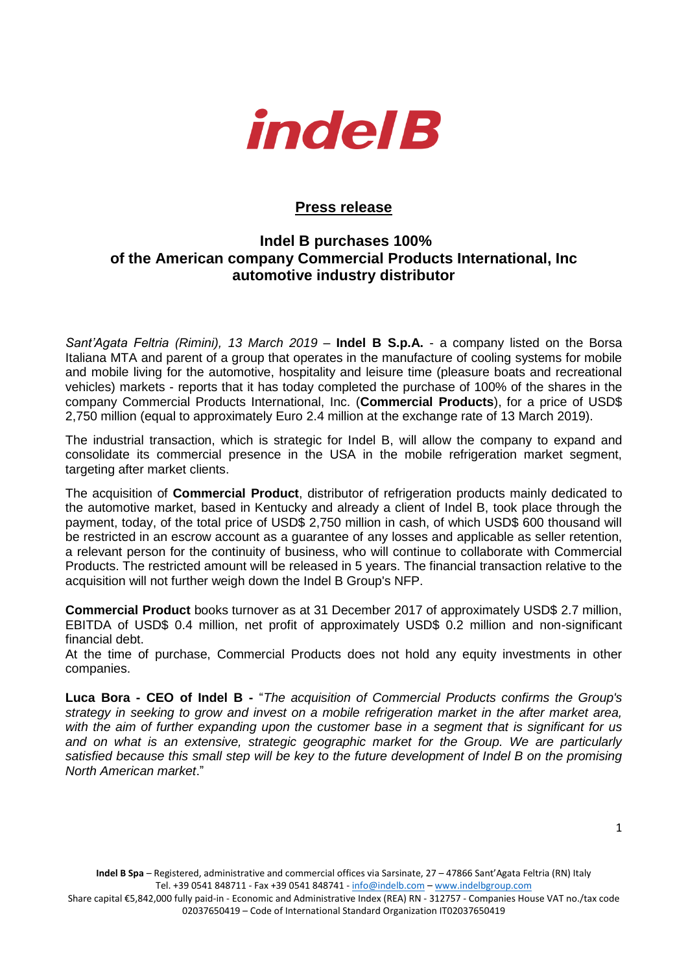

## **Press release**

## **Indel B purchases 100% of the American company Commercial Products International, Inc automotive industry distributor**

*Sant'Agata Feltria (Rimini), 13 March 2019* – **Indel B S.p.A.** - a company listed on the Borsa Italiana MTA and parent of a group that operates in the manufacture of cooling systems for mobile and mobile living for the automotive, hospitality and leisure time (pleasure boats and recreational vehicles) markets - reports that it has today completed the purchase of 100% of the shares in the company Commercial Products International, Inc. (**Commercial Products**), for a price of USD\$ 2,750 million (equal to approximately Euro 2.4 million at the exchange rate of 13 March 2019).

The industrial transaction, which is strategic for Indel B, will allow the company to expand and consolidate its commercial presence in the USA in the mobile refrigeration market segment, targeting after market clients.

The acquisition of **Commercial Product**, distributor of refrigeration products mainly dedicated to the automotive market, based in Kentucky and already a client of Indel B, took place through the payment, today, of the total price of USD\$ 2,750 million in cash, of which USD\$ 600 thousand will be restricted in an escrow account as a guarantee of any losses and applicable as seller retention, a relevant person for the continuity of business, who will continue to collaborate with Commercial Products. The restricted amount will be released in 5 years. The financial transaction relative to the acquisition will not further weigh down the Indel B Group's NFP.

**Commercial Product** books turnover as at 31 December 2017 of approximately USD\$ 2.7 million, EBITDA of USD\$ 0.4 million, net profit of approximately USD\$ 0.2 million and non-significant financial debt.

At the time of purchase, Commercial Products does not hold any equity investments in other companies.

**Luca Bora - CEO of Indel B -** "*The acquisition of Commercial Products confirms the Group's strategy in seeking to grow and invest on a mobile refrigeration market in the after market area, with the aim of further expanding upon the customer base in a segment that is significant for us and on what is an extensive, strategic geographic market for the Group. We are particularly satisfied because this small step will be key to the future development of Indel B on the promising North American market*."

Share capital €5,842,000 fully paid-in - Economic and Administrative Index (REA) RN - 312757 - Companies House VAT no./tax code 02037650419 – Code of International Standard Organization IT02037650419